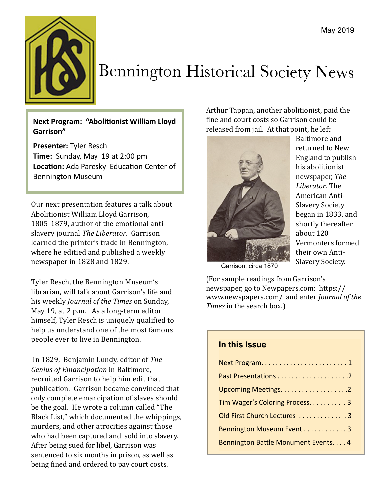

# Bennington Historical Society News

**Next Program: "Abolitionist William Lloyd Garrison"** 

**Presenter: Tyler Resch Time:** Sunday, May 19 at 2:00 pm Location: Ada Paresky Education Center of Bennington Museum

Our next presentation features a talk about Abolitionist William Lloyd Garrison, 1805-1879, author of the emotional antislavery iournal *The Liberator*. Garrison learned the printer's trade in Bennington, where he editied and published a weekly newspaper in 1828 and 1829.

Tyler Resch, the Bennington Museum's librarian, will talk about Garrison's life and his weekly *Journal of the Times* on Sunday, May 19, at 2 p.m. As a long-term editor himself, Tyler Resch is uniquely qualified to help us understand one of the most famous people ever to live in Bennington.

In 1829, Benjamin Lundy, editor of *The Genius of Emancipation* in Baltimore, recruited Garrison to help him edit that publication. Garrison became convinced that only complete emancipation of slaves should be the goal. He wrote a column called "The Black List," which documented the whippings, murders, and other atrocities against those who had been captured and sold into slavery. After being sued for libel, Garrison was sentenced to six months in prison, as well as being fined and ordered to pay court costs.

Arthur Tappan, another abolitionist, paid the fine and court costs so Garrison could be released from jail. At that point, he left



Baltimore and returned to New England to publish his abolitionist newspaper, *The Liberator*. The American Anti-Slavery Society began in 1833, and shortly thereafter about 120 Vermonters formed their own Anti-Slavery Society.

Garrison, circa 1870

(For sample readings from Garrison's newspaper, go to Newpapers.com: [https://](https://www.newspapers.com/title_6441/journal_of_the_times/?id=6441&title=journal_of_the_times) [www.newspapers.com/](https://www.newspapers.com/title_6441/journal_of_the_times/?id=6441&title=journal_of_the_times) and enter *Journal of the Times* in the search box.)

# **In this Issue**

| Tim Wager's Coloring Process. 3     |
|-------------------------------------|
| Old First Church Lectures 3         |
| Bennington Museum Event 3           |
| Bennington Battle Monument Events 4 |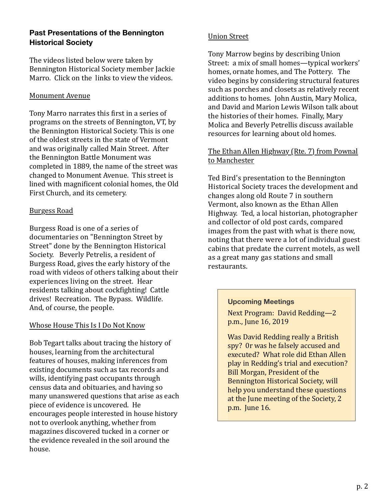# **Past Presentations of the Bennington Historical Society**

The videos listed below were taken by Bennington Historical Society member Jackie Marro. Click on the links to view the videos.

## **Monument Avenue**

Tony Marro narrates this first in a series of programs on the streets of Bennington, VT, by the Bennington Historical Society. This is one of the oldest streets in the state of Vermont and was originally called Main Street. After the Bennington Battle Monument was completed in 1889, the name of the street was changed to Monument Avenue. This street is lined with magnificent colonial homes, the Old First Church, and its cemetery.

#### [Burgess Road](https://vimeo.com/291211032)

Burgess Road is one of a series of documentaries on "Bennington Street by Street" done by the Bennington Historical Society. Beverly Petrelis, a resident of Burgess Road, gives the early history of the road with videos of others talking about their experiences living on the street. Hear residents talking about cockfighting! Cattle drives! Recreation. The Bypass. Wildlife. And, of course, the people.

# Whose House This Is I Do Not Know

Bob Tegart talks about tracing the history of houses, learning from the architectural features of houses, making inferences from existing documents such as tax records and wills, identifying past occupants through census data and obituaries, and having so many unanswered questions that arise as each piece of evidence is uncovered. He encourages people interested in house history not to overlook anything, whether from magazines discovered tucked in a corner or the evidence revealed in the soil around the house.

#### [Union Street](https://vimeo.com/249242549)

Tony Marrow begins by describing Union Street: a mix of small homes—typical workers' homes, ornate homes, and The Pottery. The video begins by considering structural features such as porches and closets as relatively recent additions to homes. John Austin, Mary Molica, and David and Marion Lewis Wilson talk about the histories of their homes. Finally, Mary Molica and Beverly Petrellis discuss available resources for learning about old homes.

#### The Ethan Allen Highway (Rte. 7) from Pownal to Manchester

Ted Bird's presentation to the Bennington Historical Society traces the development and changes along old Route 7 in southern Vermont, also known as the Ethan Allen Highway. Ted, a local historian, photographer and collector of old post cards, compared images from the past with what is there now, noting that there were a lot of individual guest cabins that predate the current motels, as well as a great many gas stations and small restaurants.

#### **Upcoming Meetings**

Next Program: David Redding-2 p.m., June 16, 2019

Was David Redding really a British spy? Or was he falsely accused and executed? What role did Ethan Allen play in Redding's trial and execution? Bill Morgan, President of the Bennington Historical Society, will help you understand these questions at the June meeting of the Society, 2 p.m. June 16.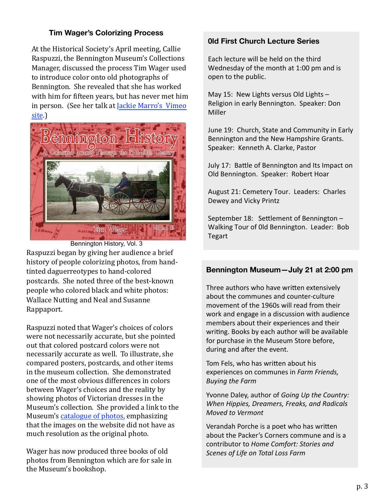# **Tim Wager's Colorizing Process**

At the Historical Society's April meeting, Callie Raspuzzi, the Bennington Museum's Collections Manager, discussed the process Tim Wager used to introduce color onto old photographs of Bennington. She revealed that she has worked with him for fifteen years, but has never met him in person. (See her talk at Jackie Marro's Vimeo [site](https://vimeo.com/333539265).)



Raspuzzi began by giving her audience a brief history of people colorizing photos, from handtinted daguerreotypes to hand-colored postcards. She noted three of the best-known people who colored black and white photos: Wallace Nutting and Neal and Susanne Rappaport. Bennington History, Vol. 3

Raspuzzi noted that Wager's choices of colors were not necessarily accurate, but she pointed out that colored postcard colors were not necessarily accurate as well. To illustrate, she compared posters, postcards, and other items in the museum collection. She demonstrated one of the most obvious differences in colors between Wager's choices and the reality by showing photos of Victorian dresses in the Museum's collection. She provided a link to the Museum's catalogue of photos, emphasizing that the images on the website did not have as much resolution as the original photo.

Wager has now produced three books of old photos from Bennington which are for sale in the Museum's bookshop.

## **0ld First Church Lecture Series**

Each lecture will be held on the third Wednesday of the month at  $1:00$  pm and is open to the public.

May 15: New Lights versus Old Lights  $-$ Religion in early Bennington. Speaker: Don Miller

June 19: Church, State and Community in Early Bennington and the New Hampshire Grants. Speaker: Kenneth A. Clarke, Pastor

July 17: Battle of Bennington and Its Impact on Old Bennington. Speaker: Robert Hoar

August 21: Cemetery Tour. Leaders: Charles Dewey and Vicky Printz

September 18: Settlement of Bennington  $-$ Walking Tour of Old Bennington. Leader: Bob Tegart

# **Bennington Museum—July 21 at 2:00 pm**

Three authors who have written extensively about the communes and counter-culture movement of the 1960s will read from their work and engage in a discussion with audience members about their experiences and their writing. Books by each author will be available for purchase in the Museum Store before, during and after the event.

Tom Fels, who has written about his experiences on communes in *Farm Friends*, *Buying the Farm*

Yvonne Daley, author of *Going Up the Country: When Hippies, Dreamers, Freaks, and Radicals Moved to Vermont*

Verandah Porche is a poet who has written about the Packer's Corners commune and is a contributor to *Home Comfort: Stories and Scenes of Life on Total Loss Farm*